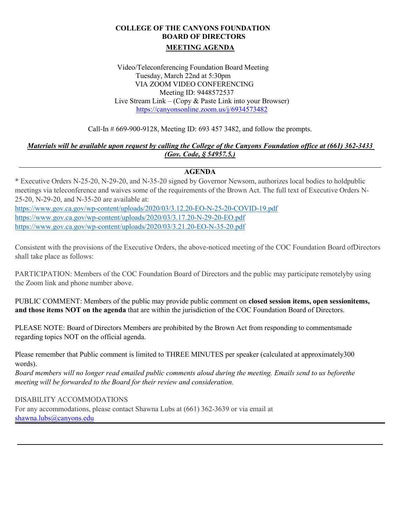# **COLLEGE OF THE CANYONS FOUNDATION BOARD OF DIRECTORS MEETING AGENDA**

Video/Teleconferencing Foundation Board Meeting Tuesday, March 22nd at 5:30pm VIA ZOOM VIDEO CONFERENCING Meeting ID: 9448572537 Live Stream Link – (Copy & Paste Link into your Browser) <https://canyonsonline.zoom.us/j/6934573482>

Call-In # 669-900-9128, Meeting ID: 693 457 3482, and follow the prompts.

## *Materials will be available upon request by calling the College of the Canyons Foundation office at (661) 362-3433 (Gov. Code, § 54957.5.)*

# **AGENDA**

\* Executive Orders N-25-20, N-29-20, and N-35-20 signed by Governor Newsom, authorizes local bodies to hold public meetings via teleconference and waives some of the requirements of the Brown Act. The full text of Executive Orders N-25-20, N-29-20, and N-35-20 are available at: <https://www.gov.ca.gov/wp-content/uploads/2020/03/3.12.20-EO-N-25-20-COVID-19.pdf> <https://www.gov.ca.gov/wp-content/uploads/2020/03/3.17.20-N-29-20-EO.pdf> <https://www.gov.ca.gov/wp-content/uploads/2020/03/3.21.20-EO-N-35-20.pdf>

Consistent with the provisions of the Executive Orders, the above-noticed meeting of the COC Foundation Board of Directors shall take place as follows:

PARTICIPATION: Members of the COC Foundation Board of Directors and the public may participate remotely by using the Zoom link and phone number above.

PUBLIC COMMENT: Members of the public may provide public comment on **closed session items, open sessionitems, and those items NOT on the agenda** that are within the jurisdiction of the COC Foundation Board of Directors.

PLEASE NOTE: Board of Directors Members are prohibited by the Brown Act from responding to comments made regarding topics NOT on the official agenda.

Please remember that Public comment is limited to THREE MINUTES per speaker (calculated at approximately 300 words).

*Board members will no longer read emailed public comments aloud during the meeting. Emails send to us beforethe meeting will be forwarded to the Board for their review and consideration.* 

### DISABILITY ACCOMMODATIONS

For any accommodations, please contact Shawna Lubs at (661) 362-3639 or via email at [shawna.lubs@canyons.edu](mailto:shawna.lubs@canyons.edu)